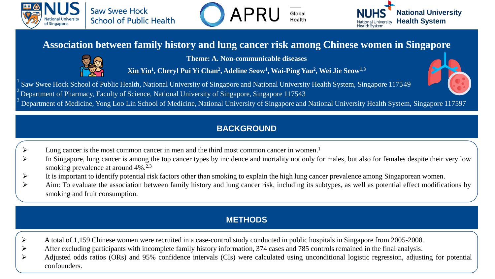





# **Association between family history and lung cancer risk among Chinese women in Singapore**



**Theme: A. Non-communicable diseases**

**Xin Yin<sup>1</sup> , Cheryl Pui Yi Chan<sup>2</sup> , Adeline Seow<sup>1</sup> , Wai-Ping Yau<sup>2</sup> , Wei Jie Seow1,3**

Saw Swee Hock School of Public Health, National University of Singapore and National University Health System, Singapore 117549 <sup>2</sup>Department of Pharmacy, Faculty of Science, National University of Singapore, Singapore 117543



<sup>3</sup> Department of Medicine, Yong Loo Lin School of Medicine, National University of Singapore and National University Health System, Singapore 117597

### **BACKGROUND**

- ➢ Lung cancer is the most common cancer in men and the third most common cancer in women. 1
- In Singapore, lung cancer is among the top cancer types by incidence and mortality not only for males, but also for females despite their very low smoking prevalence at around 4%.<sup>2,3</sup>
- $\triangleright$  It is important to identify potential risk factors other than smoking to explain the high lung cancer prevalence among Singaporean women.
- ➢ Aim: To evaluate the association between family history and lung cancer risk, including its subtypes, as well as potential effect modifications by smoking and fruit consumption.

## **METHODS**

- ➢ A total of 1,159 Chinese women were recruited in a case-control study conducted in public hospitals in Singapore from 2005-2008.
- ➢ After excluding participants with incomplete family history information, 374 cases and 785 controls remained in the final analysis.
- ➢ Adjusted odds ratios (ORs) and 95% confidence intervals (CIs) were calculated using unconditional logistic regression, adjusting for potential confounders.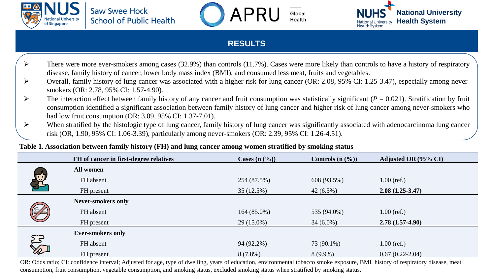





#### **RESULTS**

- There were more ever-smokers among cases (32.9%) than controls (11.7%). Cases were more likely than controls to have a history of respiratory disease, family history of cancer, lower body mass index (BMI), and consumed less meat, fruits and vegetables.
- ➢ Overall, family history of lung cancer was associated with a higher risk for lung cancer (OR: 2.08, 95% CI: 1.25-3.47), especially among neversmokers (OR: 2.78, 95% CI: 1.57-4.90).
- $\triangleright$  The interaction effect between family history of any cancer and fruit consumption was statistically significant ( $P = 0.021$ ). Stratification by fruit consumption identified a significant association between family history of lung cancer and higher risk of lung cancer among never-smokers who had low fruit consumption (OR: 3.09, 95% CI: 1.37-7.01).
- $\triangleright$  When stratified by the histologic type of lung cancer, family history of lung cancer was significantly associated with adenocarcinoma lung cancer risk (OR, 1.90, 95% CI: 1.06-3.39), particularly among never-smokers (OR: 2.39, 95% CI: 1.26-4.51).

#### **Table 1. Association between family history (FH) and lung cancer among women stratified by smoking status**

|  | FH of cancer in first-degree relatives | Cases $(n \, 0)$ | Controls $(n \, 0)$ | Adjusted OR (95% CI) |
|--|----------------------------------------|------------------|---------------------|----------------------|
|  | <b>All women</b>                       |                  |                     |                      |
|  | FH absent                              | 254 (87.5%)      | 608 (93.5%)         | $1.00$ (ref.)        |
|  | FH present                             | 35(12.5%)        | $42(6.5\%)$         | $2.08(1.25-3.47)$    |
|  | <b>Never-smokers only</b>              |                  |                     |                      |
|  | FH absent                              | $164(85.0\%)$    | 535 (94.0%)         | $1.00$ (ref.)        |
|  | FH present                             | $29(15.0\%)$     | $34(6.0\%)$         | $2.78(1.57-4.90)$    |
|  | <b>Ever-smokers only</b>               |                  |                     |                      |
|  | FH absent                              | 94 (92.2%)       | 73 (90.1%)          | $1.00$ (ref.)        |
|  | FH present                             | $8(7.8\%)$       | $8(9.9\%)$          | $0.67(0.22-2.04)$    |

OR: Odds ratio; CI: confidence interval; Adjusted for age, type of dwelling, years of education, environmental tobacco smoke exposure, BMI, history of respiratory disease, meat consumption, fruit consumption, vegetable consumption, and smoking status, excluded smoking status when stratified by smoking status.